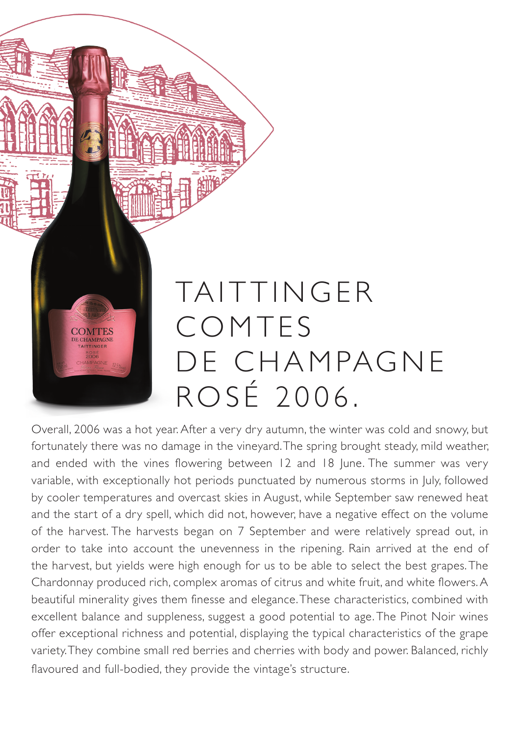## TAITTINGER COMTES **COMTES** DE CHAMPAGNE DE CHAMPAGNE ROSÉ 2006.

Overall, 2006 was a hot year. After a very dry autumn, the winter was cold and snowy, but fortunately there was no damage in the vineyard. The spring brought steady, mild weather, and ended with the vines flowering between 12 and 18 June. The summer was very variable, with exceptionally hot periods punctuated by numerous storms in July, followed by cooler temperatures and overcast skies in August, while September saw renewed heat and the start of a dry spell, which did not, however, have a negative effect on the volume of the harvest. The harvests began on 7 September and were relatively spread out, in order to take into account the unevenness in the ripening. Rain arrived at the end of the harvest, but yields were high enough for us to be able to select the best grapes. The Chardonnay produced rich, complex aromas of citrus and white fruit, and white flowers. A beautiful minerality gives them finesse and elegance. These characteristics, combined with excellent balance and suppleness, suggest a good potential to age. The Pinot Noir wines offer exceptional richness and potential, displaying the typical characteristics of the grape variety. They combine small red berries and cherries with body and power. Balanced, richly flavoured and full-bodied, they provide the vintage's structure.